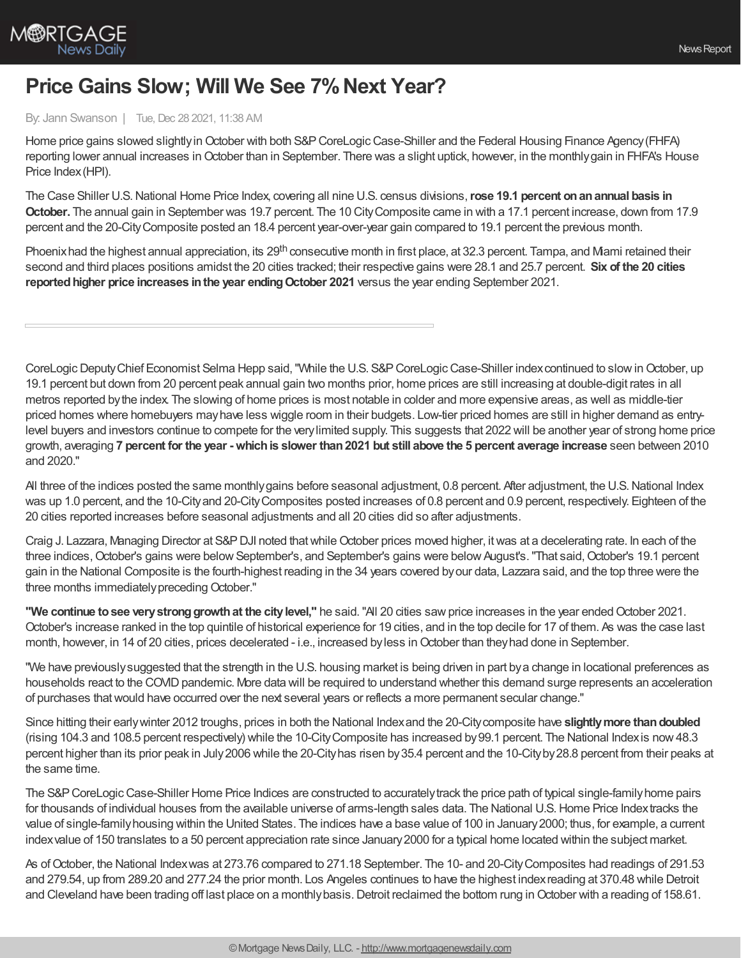

## **Price Gains Slow; Will We See 7% Next Year?**

## By: Jann Swanson | Tue, Dec 28 2021, 11:38 AM

Home price gains slowed slightly in October with both S&P CoreLogic Case-Shiller and the Federal Housing Finance Agency (FHFA) reporting lower annual increases inOctober than in September. There was a slight uptick, however, in the monthlygain in FHFA's House Price Index(HPI).

The Case Shiller U.S.National Home Price Index, covering all nine U.S. census divisions,**rose 19.1 percent onanannual basis in October.** The annual gain in September was 19.7 percent. The 10 CityComposite came in with a 17.1 percent increase, down from 17.9 percent and the 20-CityComposite posted an 18.4 percent year-over-year gain compared to 19.1 percent the previous month.

Phoenixhad the highest annual appreciation, its 29<sup>th</sup> consecutive month in first place, at 32.3 percent. Tampa, and Mami retained their second and third places positions amidst the 20 cities tracked; their respective gains were 28.1 and 25.7 percent. **Six of the 20 cities reportedhigher price increases inthe year endingOctober 2021** versus the year ending September 2021.

CoreLogic Deputy Chief Economist Selma Hepp said, "While the U.S. S&P CoreLogic Case-Shiller index continued to slow in October, up 19.1 percent but down from 20 percent peak annual gain two months prior, home prices are still increasing at double-digit rates in all metros reported bythe index. The slowing of home prices is most notable in colder and more expensive areas, as well as middle-tier priced homes where homebuyers mayhave less wiggle room in their budgets. Low-tier priced homes are still in higher demand as entrylevel buyers and investors continue to compete for the verylimited supply. This suggests that 2022 will be another year of strong home price growth, averaging 7 percent for the year - which is slower than 2021 but still above the 5 percent average increase seen between 2010 and 2020."

All three of the indices posted the same monthlygains before seasonal adjustment, 0.8 percent. After adjustment, the U.S. National Index was up 1.0 percent, and the 10-City and 20-City Composites posted increases of 0.8 percent and 0.9 percent, respectively. Eighteen of the 20 cities reported increases before seasonal adjustments and all 20 cities did so after adjustments.

Craig J. Lazzara, Managing Director at S&P DJI noted that while October prices moved higher, it was at a decelerating rate. In each of the three indices, October's gains were below September's, and September's gains were below August's. "That said, October's 19.1 percent gain in the National Composite is the fourth-highest reading in the 34 years covered byour data, Lazzara said, and the top three were the three months immediately preceding October."

**"We continue tosee verystronggrowthat the citylevel,"** he said."All 20 cities sawprice increases in the year endedOctober 2021. October's increase ranked in the top quintile of historical experience for 19 cities, and in the top decile for 17 of them. As was the case last month, however, in 14 of 20 cities, prices decelerated - i.e., increased by less in October than they had done in September.

"We have previouslysuggested that the strength in the U.S. housing market is being driven in part bya change in locational preferences as households react to the COVID pandemic. More data will be required to understand whether this demand surge represents an acceleration of purchases thatwould have occurred over the next several years or reflects a more permanent secular change."

Since hitting their earlywinter 2012 troughs, prices in both the National Indexand the 20-Citycomposite have **slightlymore thandoubled** (rising 104.3 and 108.5 percent respectively) while the 10-CityComposite has increased by99.1 percent. The National Indexis now48.3 percent higher than its prior peak in July2006 while the 20-Cityhas risen by35.4 percent and the 10-Cityby28.8 percent from their peaks at the same time.

The S&P CoreLogic Case-Shiller Home Price Indices are constructed to accurately track the price path of typical single-family home pairs for thousands of individual houses from the available universe of arms-length sales data. The National U.S.Home Price Indextracks the value of single-familyhousing within the United States. The indices have a base value of 100 in January2000; thus, for example, a current indexvalue of 150 translates to a 50 percent appreciation rate since January2000 for a typical home located within the subject market.

As of October, the National Indexwas at 273.76 compared to 271.18 September. The 10- and 20-City Composites had readings of 291.53 and 279.54, up from 289.20 and 277.24 the prior month. Los Angeles continues to have the highest indexreading at 370.48 while Detroit and Cleveland have been trading off last place on a monthly basis. Detroit reclaimed the bottom rung in October with a reading of 158.61.